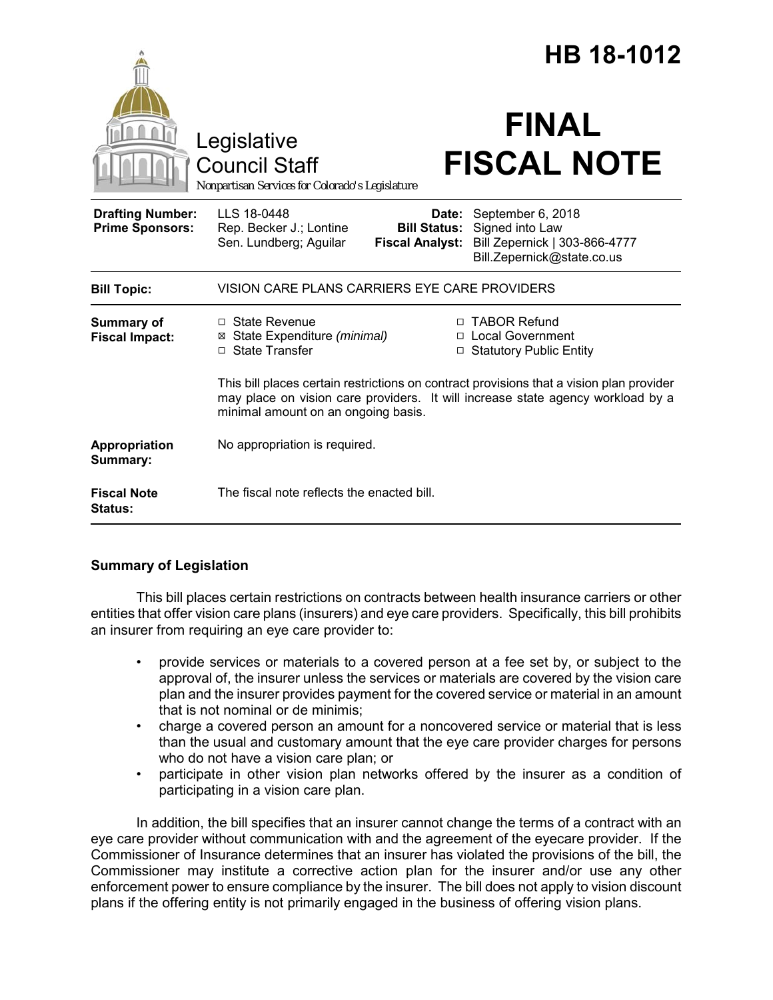|                                                   | HB 18-1012                                                                                                                                                                                                                     |
|---------------------------------------------------|--------------------------------------------------------------------------------------------------------------------------------------------------------------------------------------------------------------------------------|
|                                                   | <b>FINAL</b><br>Legislative<br><b>FISCAL NOTE</b><br><b>Council Staff</b><br>Nonpartisan Services for Colorado's Legislature                                                                                                   |
| <b>Drafting Number:</b><br><b>Prime Sponsors:</b> | LLS 18-0448<br>September 6, 2018<br>Date:<br>Rep. Becker J.; Lontine<br><b>Bill Status:</b> Signed into Law<br>Sen. Lundberg; Aguilar<br>Bill Zepernick   303-866-4777<br><b>Fiscal Analyst:</b><br>Bill.Zepernick@state.co.us |
| <b>Bill Topic:</b>                                | VISION CARE PLANS CARRIERS EYE CARE PROVIDERS                                                                                                                                                                                  |
| <b>Summary of</b><br><b>Fiscal Impact:</b>        | □ TABOR Refund<br>$\Box$ State Revenue<br>State Expenditure (minimal)<br>□ Local Government<br>⊠<br>□ State Transfer<br><b>Statutory Public Entity</b><br>□                                                                    |
|                                                   | This bill places certain restrictions on contract provisions that a vision plan provider<br>may place on vision care providers. It will increase state agency workload by a<br>minimal amount on an ongoing basis.             |
| Appropriation<br>Summary:                         | No appropriation is required.                                                                                                                                                                                                  |
| <b>Fiscal Note</b><br>Status:                     | The fiscal note reflects the enacted bill.                                                                                                                                                                                     |

## **Summary of Legislation**

This bill places certain restrictions on contracts between health insurance carriers or other entities that offer vision care plans (insurers) and eye care providers. Specifically, this bill prohibits an insurer from requiring an eye care provider to:

- provide services or materials to a covered person at a fee set by, or subject to the approval of, the insurer unless the services or materials are covered by the vision care plan and the insurer provides payment for the covered service or material in an amount that is not nominal or de minimis;
- charge a covered person an amount for a noncovered service or material that is less than the usual and customary amount that the eye care provider charges for persons who do not have a vision care plan; or
- participate in other vision plan networks offered by the insurer as a condition of participating in a vision care plan.

In addition, the bill specifies that an insurer cannot change the terms of a contract with an eye care provider without communication with and the agreement of the eyecare provider. If the Commissioner of Insurance determines that an insurer has violated the provisions of the bill, the Commissioner may institute a corrective action plan for the insurer and/or use any other enforcement power to ensure compliance by the insurer. The bill does not apply to vision discount plans if the offering entity is not primarily engaged in the business of offering vision plans.